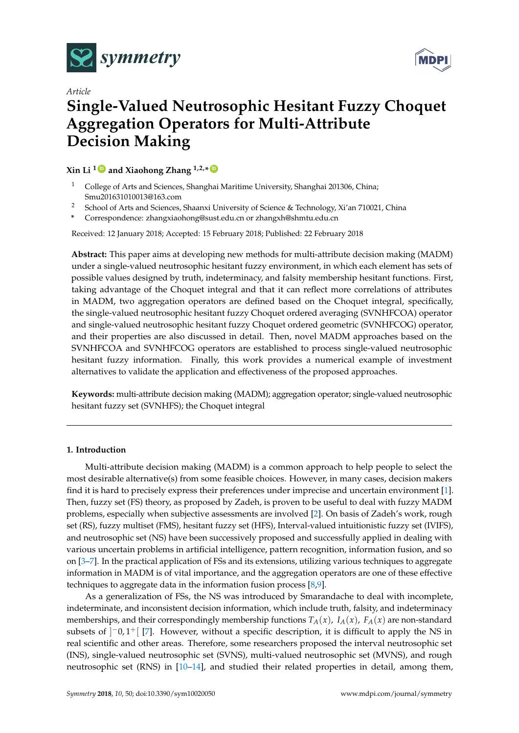



# *Article* **Single-Valued Neutrosophic Hesitant Fuzzy Choquet Aggregation Operators for Multi-Attribute Decision Making**

# **Xin Li <sup>1</sup> [ID](https://orcid.org/0000-0001-8696-5361) and Xiaohong Zhang 1,2,\* [ID](https://orcid.org/0000-0003-2320-0884)**

- <sup>1</sup> College of Arts and Sciences, Shanghai Maritime University, Shanghai 201306, China; Smu201631010013@163.com
- <sup>2</sup> School of Arts and Sciences, Shaanxi University of Science & Technology, Xi'an 710021, China
- **\*** Correspondence: zhangxiaohong@sust.edu.cn or zhangxh@shmtu.edu.cn

Received: 12 January 2018; Accepted: 15 February 2018; Published: 22 February 2018

**Abstract:** This paper aims at developing new methods for multi-attribute decision making (MADM) under a single-valued neutrosophic hesitant fuzzy environment, in which each element has sets of possible values designed by truth, indeterminacy, and falsity membership hesitant functions. First, taking advantage of the Choquet integral and that it can reflect more correlations of attributes in MADM, two aggregation operators are defined based on the Choquet integral, specifically, the single-valued neutrosophic hesitant fuzzy Choquet ordered averaging (SVNHFCOA) operator and single-valued neutrosophic hesitant fuzzy Choquet ordered geometric (SVNHFCOG) operator, and their properties are also discussed in detail. Then, novel MADM approaches based on the SVNHFCOA and SVNHFCOG operators are established to process single-valued neutrosophic hesitant fuzzy information. Finally, this work provides a numerical example of investment alternatives to validate the application and effectiveness of the proposed approaches.

**Keywords:** multi-attribute decision making (MADM); aggregation operator; single-valued neutrosophic hesitant fuzzy set (SVNHFS); the Choquet integral

# **1. Introduction**

Multi-attribute decision making (MADM) is a common approach to help people to select the most desirable alternative(s) from some feasible choices. However, in many cases, decision makers find it is hard to precisely express their preferences under imprecise and uncertain environment [\[1\]](#page-13-0). Then, fuzzy set (FS) theory, as proposed by Zadeh, is proven to be useful to deal with fuzzy MADM problems, especially when subjective assessments are involved [\[2\]](#page-13-1). On basis of Zadeh's work, rough set (RS), fuzzy multiset (FMS), hesitant fuzzy set (HFS), Interval-valued intuitionistic fuzzy set (IVIFS), and neutrosophic set (NS) have been successively proposed and successfully applied in dealing with various uncertain problems in artificial intelligence, pattern recognition, information fusion, and so on [\[3](#page-13-2)[–7\]](#page-13-3). In the practical application of FSs and its extensions, utilizing various techniques to aggregate information in MADM is of vital importance, and the aggregation operators are one of these effective techniques to aggregate data in the information fusion process [\[8](#page-13-4)[,9\]](#page-13-5).

As a generalization of FSs, the NS was introduced by Smarandache to deal with incomplete, indeterminate, and inconsistent decision information, which include truth, falsity, and indeterminacy memberships, and their correspondingly membership functions  $T_A(x)$ ,  $I_A(x)$ ,  $F_A(x)$  are non-standard subsets of  $]$ <sup>-</sup>0,1<sup>+</sup>[[\[7\]](#page-13-3). However, without a specific description, it is difficult to apply the NS in real scientific and other areas. Therefore, some researchers proposed the interval neutrosophic set (INS), single-valued neutrosophic set (SVNS), multi-valued neutrosophic set (MVNS), and rough neutrosophic set (RNS) in [\[10](#page-13-6)[–14\]](#page-14-0), and studied their related properties in detail, among them,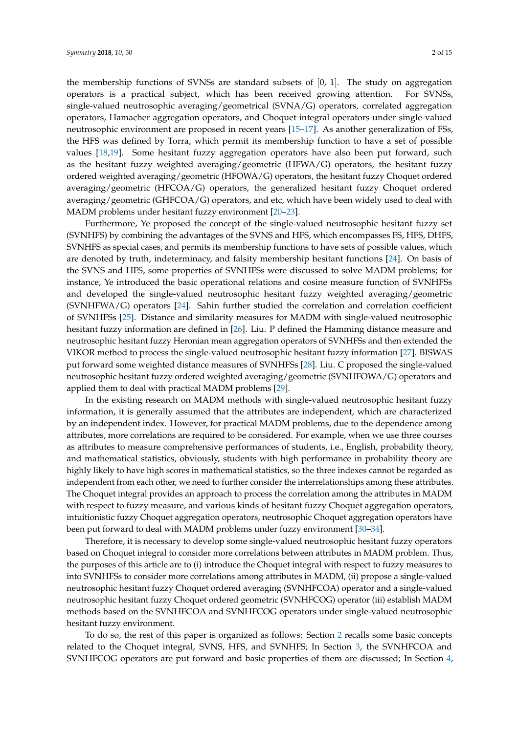the membership functions of SVNSs are standard subsets of  $[0, 1]$ . The study on aggregation operators is a practical subject, which has been received growing attention. For SVNSs, single-valued neutrosophic averaging/geometrical (SVNA/G) operators, correlated aggregation operators, Hamacher aggregation operators, and Choquet integral operators under single-valued neutrosophic environment are proposed in recent years [\[15](#page-14-1)[–17\]](#page-14-2). As another generalization of FSs, the HFS was defined by Torra, which permit its membership function to have a set of possible values [\[18](#page-14-3)[,19\]](#page-14-4). Some hesitant fuzzy aggregation operators have also been put forward, such as the hesitant fuzzy weighted averaging/geometric (HFWA/G) operators, the hesitant fuzzy ordered weighted averaging/geometric (HFOWA/G) operators, the hesitant fuzzy Choquet ordered averaging/geometric (HFCOA/G) operators, the generalized hesitant fuzzy Choquet ordered averaging/geometric (GHFCOA/G) operators, and etc, which have been widely used to deal with MADM problems under hesitant fuzzy environment [\[20–](#page-14-5)[23\]](#page-14-6).

Furthermore, Ye proposed the concept of the single-valued neutrosophic hesitant fuzzy set (SVNHFS) by combining the advantages of the SVNS and HFS, which encompasses FS, HFS, DHFS, SVNHFS as special cases, and permits its membership functions to have sets of possible values, which are denoted by truth, indeterminacy, and falsity membership hesitant functions [\[24\]](#page-14-7). On basis of the SVNS and HFS, some properties of SVNHFSs were discussed to solve MADM problems; for instance, Ye introduced the basic operational relations and cosine measure function of SVNHFSs and developed the single-valued neutrosophic hesitant fuzzy weighted averaging/geometric (SVNHFWA/G) operators [\[24\]](#page-14-7). Sahin further studied the correlation and correlation coefficient of SVNHFSs [\[25\]](#page-14-8). Distance and similarity measures for MADM with single-valued neutrosophic hesitant fuzzy information are defined in [\[26\]](#page-14-9). Liu. P defined the Hamming distance measure and neutrosophic hesitant fuzzy Heronian mean aggregation operators of SVNHFSs and then extended the VIKOR method to process the single-valued neutrosophic hesitant fuzzy information [\[27\]](#page-14-10). BISWAS put forward some weighted distance measures of SVNHFSs [\[28\]](#page-14-11). Liu. C proposed the single-valued neutrosophic hesitant fuzzy ordered weighted averaging/geometric (SVNHFOWA/G) operators and applied them to deal with practical MADM problems [\[29\]](#page-14-12).

In the existing research on MADM methods with single-valued neutrosophic hesitant fuzzy information, it is generally assumed that the attributes are independent, which are characterized by an independent index. However, for practical MADM problems, due to the dependence among attributes, more correlations are required to be considered. For example, when we use three courses as attributes to measure comprehensive performances of students, i.e., English, probability theory, and mathematical statistics, obviously, students with high performance in probability theory are highly likely to have high scores in mathematical statistics, so the three indexes cannot be regarded as independent from each other, we need to further consider the interrelationships among these attributes. The Choquet integral provides an approach to process the correlation among the attributes in MADM with respect to fuzzy measure, and various kinds of hesitant fuzzy Choquet aggregation operators, intuitionistic fuzzy Choquet aggregation operators, neutrosophic Choquet aggregation operators have been put forward to deal with MADM problems under fuzzy environment [\[30–](#page-14-13)[34\]](#page-14-14).

Therefore, it is necessary to develop some single-valued neutrosophic hesitant fuzzy operators based on Choquet integral to consider more correlations between attributes in MADM problem. Thus, the purposes of this article are to (i) introduce the Choquet integral with respect to fuzzy measures to into SVNHFSs to consider more correlations among attributes in MADM, (ii) propose a single-valued neutrosophic hesitant fuzzy Choquet ordered averaging (SVNHFCOA) operator and a single-valued neutrosophic hesitant fuzzy Choquet ordered geometric (SVNHFCOG) operator (iii) establish MADM methods based on the SVNHFCOA and SVNHFCOG operators under single-valued neutrosophic hesitant fuzzy environment.

To do so, the rest of this paper is organized as follows: Section [2](#page-2-0) recalls some basic concepts related to the Choquet integral, SVNS, HFS, and SVNHFS; In Section [3,](#page-3-0) the SVNHFCOA and SVNHFCOG operators are put forward and basic properties of them are discussed; In Section [4,](#page-8-0)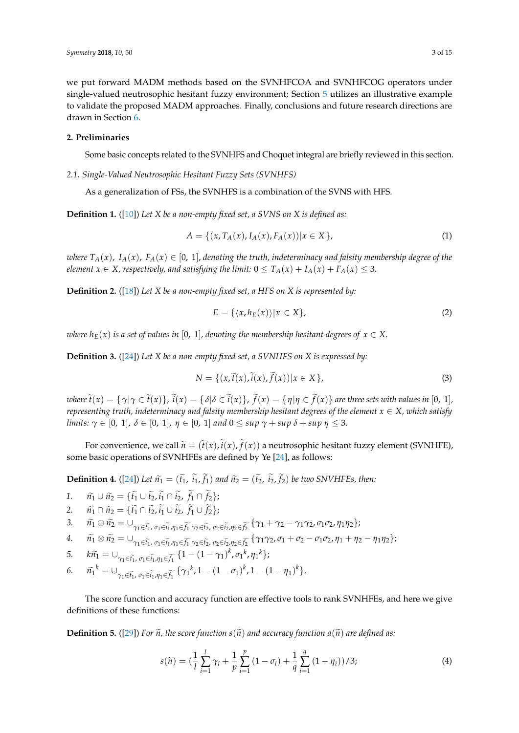we put forward MADM methods based on the SVNHFCOA and SVNHFCOG operators under single-valued neutrosophic hesitant fuzzy environment; Section [5](#page-9-0) utilizes an illustrative example to validate the proposed MADM approaches. Finally, conclusions and future research directions are drawn in Section [6.](#page-13-7)

# <span id="page-2-0"></span>**2. Preliminaries**

Some basic concepts related to the SVNHFS and Choquet integral are briefly reviewed in this section.

*2.1. Single-Valued Neutrosophic Hesitant Fuzzy Sets (SVNHFS)*

As a generalization of FSs, the SVNHFS is a combination of the SVNS with HFS.

**Definition 1.** ([\[10\]](#page-13-6)) *Let X be a non-empty fixed set, a SVNS on X is defined as:*

$$
A = \{ (x, T_A(x), I_A(x), F_A(x)) | x \in X \},
$$
\n(1)

*where*  $T_A(x)$ ,  $I_A(x)$ ,  $F_A(x) \in [0, 1]$ , *denoting the truth, indeterminacy and falsity membership degree of the element*  $x \in X$ *, respectively, and satisfying the limit:*  $0 \leq T_A(x) + I_A(x) + F_A(x) \leq 3$ .

**Definition 2.** ([\[18\]](#page-14-3)) *Let X be a non-empty fixed set, a HFS on X is represented by:*

$$
E = \{ \langle x, h_E(x) \rangle | x \in X \},\tag{2}
$$

*where*  $h_E(x)$  *is a set of values in* [0, 1]*, denoting the membership hesitant degrees of*  $x \in X$ .

**Definition 3.** ([\[24\]](#page-14-7)) *Let X be a non-empty fixed set, a SVNHFS on X is expressed by:*

$$
N = \{ (x, \tilde{t}(x), \tilde{t}(x), \tilde{f}(x)) | x \in X \},
$$
\n(3)

where  $\tilde{t}(x) = \{ \gamma | \gamma \in \tilde{t}(x) \}$ ,  $\tilde{i}(x) = \{ \delta | \delta \in \tilde{t}(x) \}$ ,  $\tilde{f}(x) = \{ \eta | \eta \in \tilde{f}(x) \}$  are three sets with values in [0, 1], *representing truth, indeterminacy and falsity membership hesitant degrees of the element*  $x \in X$ *, which satisfy limits:*  $\gamma \in [0, 1]$ ,  $\delta \in [0, 1]$ ,  $\eta \in [0, 1]$  and  $0 \leq \sup \gamma + \sup \delta + \sup \eta \leq 3$ .

For convenience, we call  $\widetilde{n} = (\widetilde{t}(x), \widetilde{t}(x), \widetilde{f}(x))$  a neutrosophic hesitant fuzzy element (SVNHFE), some basic operations of SVNHFEs are defined by Ye [\[24\]](#page-14-7), as follows:

**Definition 4.** ([\[24\]](#page-14-7)) *Let*  $\tilde{n_1} = (\tilde{t_1}, i_1, f_1)$  *and*  $\tilde{n_2} = (\tilde{t_2}, i_2, f_2)$  *be two SNVHFEs, then:* 

1. 
$$
\widetilde{n_1} \cup \widetilde{n_2} = \{ \widetilde{t_1} \cup \widetilde{t_2}, \widetilde{t_1} \cap \widetilde{t_2}, \widetilde{f_1} \cap \widetilde{f_2} \}
$$

2. 
$$
\widetilde{n_1} \cap \widetilde{n_2} = \{ \widetilde{t_1} \cap \widetilde{t_2}, \widetilde{t_1} \cup \widetilde{t_2}, \widetilde{f_1} \cup \widetilde{f_2} \};
$$

3. 
$$
\widetilde{n_1} \oplus \widetilde{n_2} = \bigcup_{\gamma_1 \in \widetilde{t_1}, \sigma_1 \in \widetilde{t_1}, \eta_1 \in \widetilde{f_1}} \widetilde{n_2 \in \widetilde{t_2}}, \sigma_2 \in \widetilde{t_2}, \eta_2 \in \widetilde{t_2}} \{ \gamma_1 + \gamma_2 - \gamma_1 \gamma_2, \sigma_1 \sigma_2, \eta_1 \eta_2 \};
$$

4. 
$$
\widetilde{n_1} \otimes \widetilde{n_2} = \cup_{\gamma_1 \in \widetilde{t_1}, \sigma_1 \in \widetilde{t_1}, \eta_1 \in \widetilde{t_1}} \widetilde{n_2 \in \widetilde{t_2}}, \sigma_2 \in \widetilde{t_2}, \eta_2 \in \widetilde{t_2}} \{ \gamma_1 \gamma_2, \sigma_1 + \sigma_2 - \sigma_1 \sigma_2, \eta_1 + \eta_2 - \eta_1 \eta_2 \};
$$

5. 
$$
k\widetilde{n_1} = \bigcup_{\gamma_1 \in \widetilde{t_1}, \sigma_1 \in \widetilde{t_1}, \eta_1 \in \widetilde{f_1}} \{1 - (1 - \gamma_1)^k, \sigma_1^k, \eta_1^k\};
$$

6. 
$$
\tilde{n_1}^k = \bigcup_{\gamma_1 \in \tilde{t_1}, \sigma_1 \in \tilde{t_1}, \eta_1 \in \tilde{f_1}} \{ \gamma_1^k, 1 - (1 - \sigma_1)^k, 1 - (1 - \eta_1)^k \}.
$$

The score function and accuracy function are effective tools to rank SVNHFEs, and here we give definitions of these functions:

**Definition 5.** ([\[29\]](#page-14-12)) For  $\tilde{n}$ , the score function  $s(\tilde{n})$  and accuracy function  $a(\tilde{n})$  are defined as:

$$
s(\widetilde{n}) = \left(\frac{1}{l}\sum_{i=1}^{l}\gamma_i + \frac{1}{p}\sum_{i=1}^{p}(1-\sigma_i) + \frac{1}{q}\sum_{i=1}^{q}(1-\eta_i)\right)/3; \tag{4}
$$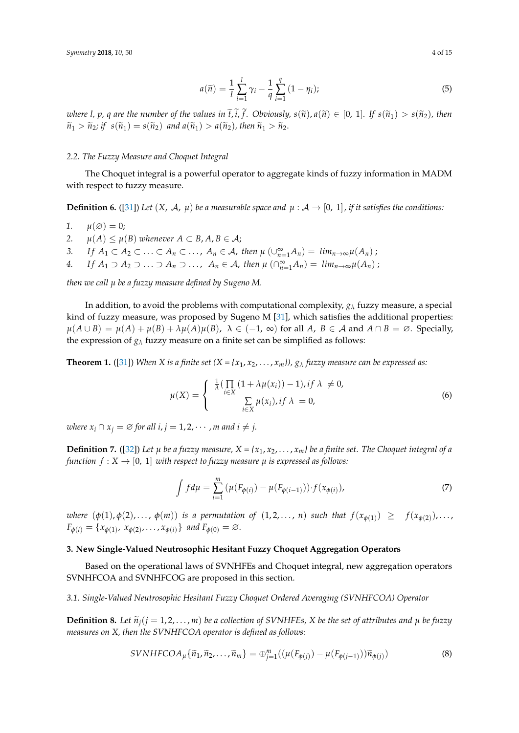$$
a(\tilde{n}) = \frac{1}{l} \sum_{i=1}^{l} \gamma_i - \frac{1}{q} \sum_{i=1}^{q} (1 - \eta_i);
$$
\n(5)

*where l, p, q are the number of the values in*  $\tilde{t}$ *,*  $\tilde{t}$ *,*  $\tilde{f}$ *. Obviously,*  $s(\tilde{n})$ *,*  $a(\tilde{n}) \in [0, 1]$ *. If*  $s(\tilde{n}_1) > s(\tilde{n}_2)$ *, then*  $\widetilde{n}_1 > \widetilde{n}_2$ ; if  $s(\widetilde{n}_1) = s(\widetilde{n}_2)$  and  $a(\widetilde{n}_1) > a(\widetilde{n}_2)$ , then  $\widetilde{n}_1 > \widetilde{n}_2$ .

## *2.2. The Fuzzy Measure and Choquet Integral*

The Choquet integral is a powerful operator to aggregate kinds of fuzzy information in MADM with respect to fuzzy measure.

**Definition 6.** ([\[31\]](#page-14-15)) Let  $(X, \mathcal{A}, \mu)$  be a measurable space and  $\mu : \mathcal{A} \to [0, 1]$ , if it satisfies the conditions:

1.  $u(\emptyset) = 0$ ;

- 2.  $\mu(A) \leq \mu(B)$  *whenever*  $A \subset B$ ,  $A, B \in \mathcal{A}$ ;
- *3. If*  $A_1 \subset A_2 \subset \ldots \subset A_n \subset \ldots$ ,  $A_n \in \mathcal{A}$ , then  $\mu(\bigcup_{n=1}^{\infty} A_n) = \lim_{n \to \infty} \mu(A_n)$ ;
- *4. If*  $A_1 \supset A_2 \supset \ldots \supset A_n \supset \ldots$ ,  $A_n \in \mathcal{A}$ , then  $\mu \left( \bigcap_{n=1}^{\infty} A_n \right) = \lim_{n \to \infty} \mu(A_n)$ ;

*then we call µ be a fuzzy measure defined by Sugeno M.*

In addition, to avoid the problems with computational complexity,  $g_{\lambda}$  fuzzy measure, a special kind of fuzzy measure, was proposed by Sugeno M [\[31\]](#page-14-15), which satisfies the additional properties:  $\mu(A \cup B) = \mu(A) + \mu(B) + \lambda \mu(A) \mu(B)$ ,  $\lambda \in (-1, \infty)$  for all *A*,  $B \in \mathcal{A}$  and  $A \cap B = \emptyset$ . Specially, the expression of  $g_{\lambda}$  fuzzy measure on a finite set can be simplified as follows:

**Theorem 1.** ([\[31\]](#page-14-15)) *When X is a finite set*  $(X = \{x_1, x_2, \ldots, x_m\})$ ,  $g_\lambda$  *fuzzy measure can be expressed as:* 

$$
\mu(X) = \begin{cases} \frac{1}{\lambda} \left( \prod_{i \in X} (1 + \lambda \mu(x_i)) - 1 \right), if \ \lambda \neq 0, \\ \sum_{i \in X} \mu(x_i), if \ \lambda = 0, \end{cases}
$$
\n
$$
(6)
$$

*where*  $x_i \cap x_j = \emptyset$  *for all i, j* = 1, 2, · · · , *m and i*  $\neq j$ .

**Definition 7.** ([\[32\]](#page-14-16)) Let  $\mu$  be a fuzzy measure,  $X = \{x_1, x_2, \dots, x_m\}$  be a finite set. The Choquet integral of a *function*  $f : X \to [0, 1]$  *with respect to fuzzy measure*  $\mu$  *is expressed as follows:* 

$$
\int f d\mu = \sum_{i=1}^{m} (\mu(F_{\phi(i)}) - \mu(F_{\phi(i-1)})) \cdot f(x_{\phi(i)}),
$$
\n(7)

*where*  $(\phi(1), \phi(2), \ldots, \phi(m))$  *is a permutation of*  $(1, 2, \ldots, n)$  *such that*  $f(x_{\phi(1)}) \geq f(x_{\phi(2)})$ ,...,  $F_{\phi(i)} = \{x_{\phi(1)}, x_{\phi(2)}, \ldots, x_{\phi(i)}\}$  *and*  $F_{\phi(0)} = \emptyset$ .

#### <span id="page-3-0"></span>**3. New Single-Valued Neutrosophic Hesitant Fuzzy Choquet Aggregation Operators**

Based on the operational laws of SVNHFEs and Choquet integral, new aggregation operators SVNHFCOA and SVNHFCOG are proposed in this section.

*3.1. Single-Valued Neutrosophic Hesitant Fuzzy Choquet Ordered Averaging (SVNHFCOA) Operator*

**Definition 8.** Let  $\tilde{n}_i$  ( $j = 1, 2, ..., m$ ) *be a collection of SVNHFEs, X be the set of attributes and*  $\mu$  *be fuzzy measures on X, then the SVNHFCOA operator is defined as follows:*

$$
SVNHFCOA_{\mu}\lbrace \widetilde{n}_1, \widetilde{n}_2, \ldots, \widetilde{n}_m \rbrace = \bigoplus_{j=1}^m \left( \left( \mu(F_{\phi(j)}) - \mu(F_{\phi(j-1)}) \right) \widetilde{n}_{\phi(j)} \right) \tag{8}
$$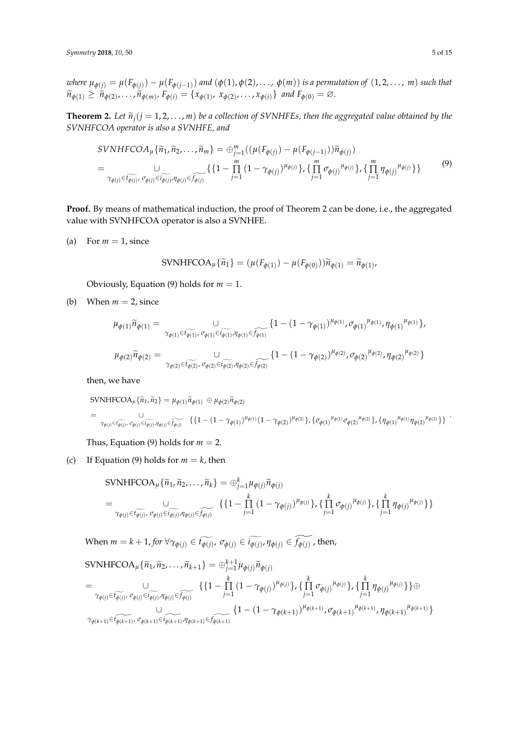where  $\mu_{\phi(j)}=\mu(F_{\phi(j)})-\mu(F_{\phi(j-1)})$  and  $(\phi(1),\phi(2),\ldots,$   $\phi(m))$  is a permutation of  $(1,2,\ldots,$  m) such that  $\widetilde{n}_{\phi(1)} \ge \widetilde{n}_{\phi(2)}, \ldots, \widetilde{n}_{\phi(m)}, F_{\phi(i)} = \{x_{\phi(1)}, x_{\phi(2)}, \ldots, x_{\phi(i)}\}$  *and*  $F_{\phi(0)} = \emptyset$ .

**Theorem 2.** Let  $\tilde{n}_j$ ( $j = 1, 2, ..., m$ ) *be a collection of SVNHFEs, then the aggregated value obtained by the SVNHFCOA operator is also a SVNHFE, and*

$$
SVNHFCOA_{\mu}\{\tilde{n}_{1},\tilde{n}_{2},...,\tilde{n}_{m}\} = \bigoplus_{j=1}^{m} ((\mu(F_{\phi(j)}) - \mu(F_{\phi(j-1)}))\tilde{n}_{\phi(j)})
$$
  
\n
$$
= \bigcup_{\gamma_{\phi(j)} \in \widehat{I_{\phi(j)}}, \sigma_{\phi(j)} \in \widehat{I_{\phi(j)}} \mathcal{F}_{\phi(j)}} \{ \{1 - \prod_{j=1}^{m} (1 - \gamma_{\phi(j)})^{\mu_{\phi(j)}} \}, \{\prod_{j=1}^{m} \sigma_{\phi(j)}^{\mu_{\phi(j)}} \}, \{\prod_{j=1}^{m} \eta_{\phi(j)}^{\mu_{\phi(j)}} \} \} \qquad (9)
$$

**Proof.** By means of mathematical induction, the proof of Theorem 2 can be done, i.e., the aggregated value with SVNHFCOA operator is also a SVNHFE.

(a) For  $m = 1$ , since

$$
\text{SVMHFCOA}_{\mu}\{\widetilde{n}_1\} = (\mu(F_{\phi(1)}) - \mu(F_{\phi(0)}))\widetilde{n}_{\phi(1)} = \widetilde{n}_{\phi(1)},
$$

Obviously, Equation (9) holds for  $m = 1$ .

(b) When  $m = 2$ , since

$$
\mu_{\phi(1)} \widetilde{n}_{\phi(1)} = \bigcup_{\gamma_{\phi(1)} \in \widetilde{t_{\phi(1)}}, \sigma_{\phi(1)} \in \widetilde{t_{\phi(1)}}}, \eta_{\phi(1)} \in \widetilde{t_{\phi(1)}} \text{ for } (1 - (1 - \gamma_{\phi(1)})^{\mu_{\phi(1)}}, \sigma_{\phi(1)}^{\mu_{\phi(1)}}, \eta_{\phi(1)}^{\mu_{\phi(1)}}\text{, } \eta_{\phi(1)}^{\mu_{\phi(1)}}\text{, } \eta_{\phi(1)}^{\mu_{\phi(1)}}\text{, } \eta_{\phi(2)}^{\mu_{\phi(2)}} = \bigcup_{\mathbf{0} \in \mathcal{N} \text{ such that } \mathbf{0} \in \mathcal{N} \text{ and } (\mathbf{0} \in \mathcal{N} \text{ and } \mathbf{0} \in \mathcal{N} \text{ and } \mathbf{0} \in \mathcal{N} \text{ and } \mathbf{0} \in \mathcal{N} \text{ and } \mathbf{0} \in \mathcal{N} \text{ and } \mathbf{0} \in \mathcal{N} \text{ and } \mathbf{0} \in \mathcal{N} \text{ and } \mathbf{0} \in \mathcal{N} \text{ and } \mathbf{0} \in \mathcal{N} \text{ and } \mathbf{0} \in \mathcal{N} \text{ and } \mathbf{0} \in \mathcal{N} \text{ and } \mathbf{0} \in \mathcal{N} \text{ and } \mathbf{0} \in \mathcal{N} \text{ and } \mathbf{0} \in \mathcal{N} \text{ and } \mathbf{0} \in \mathcal{N} \text{ and } \mathbf{0} \in \mathcal{N} \text{ and } \mathbf{0} \in \mathcal{N} \text{ and } \mathbf{0} \in \mathcal{N} \text{ and } \mathbf{0} \in \mathcal{N} \text{ and } \mathbf{0} \in \mathcal{N} \text{ and } \mathbf{0} \in \mathcal{N} \text{ and } \mathbf{0} \in \mathcal{N} \text{ and } \mathbf{0} \in \mathcal{N} \text{ and } \mathbf{0} \in \mathcal{N} \text{ and } \mathbf{0} \in \mathcal{N} \text{ and } \mathbf{0} \in \mathcal{N} \text{ and }
$$

$$
\mu_{\phi(2)}\tilde{n}_{\phi(2)} = \bigcup_{\gamma_{\phi(2)} \in \tilde{t_{\phi(2)}}, \sigma_{\phi(2)} \in \tilde{t_{\phi(2)}}, \eta_{\phi(2)} \in \tilde{t_{\phi(2)}}} \{1 - (1 - \gamma_{\phi(2)})^{\mu_{\phi(2)}}, \sigma_{\phi(2)}^{\mu_{\phi(2)}}, \eta_{\phi(2)}^{\mu_{\phi(2)}}\}
$$

then, we have

$$
\begin{split} &\text{SVMHFCOA}_{\mu}\{\tilde{n}_{1},\tilde{n}_{2}\}=\mu_{\phi(1)}\tilde{n}_{\phi(1)}\oplus\mu_{\phi(2)}\tilde{n}_{\phi(2)}\\ &=\bigcup_{\gamma_{\phi(j)}\in\widehat{f_{\phi(j)}},\sigma_{\phi(j)}\in\widehat{i_{\phi(j)}}\eta_{\phi(j)}\in\widehat{f_{\phi(j)}}}\{\{1-(1-\gamma_{\phi(1)})^{\mu_{\phi(1)}}(1-\gamma_{\phi(2)})^{\mu_{\phi(2)}}\},\{\sigma_{\phi(1)}^{\mu_{\phi(1)}}\sigma_{\phi(2)}^{\mu_{\phi(2)}}\},\{\eta_{\phi(1)}^{\mu_{\phi(1)}}\eta_{\phi(2)}^{\mu_{\phi(2)}}\}\}\end{split}.
$$

Thus, Equation (9) holds for  $m = 2$ .

(c) If Equation (9) holds for  $m = k$ , then

$$
\text{SVMHFCOA}_{\mu} \{ \tilde{n}_1, \tilde{n}_2, \dots, \tilde{n}_k \} = \bigoplus_{j=1}^k \mu_{\phi(j)} \tilde{n}_{\phi(j)}
$$
\n
$$
= \bigcup_{\gamma_{\phi(j)} \in I_{\phi(j)}, \sigma_{\phi(j)} \in I_{\phi(j)}, \eta_{\phi(j)} \in I_{\phi(j)}} \{ \{ 1 - \prod_{j=1}^k (1 - \gamma_{\phi(j)})^{\mu_{\phi(j)}} \}, \{ \prod_{j=1}^k \sigma_{\phi(j)}^{\mu_{\phi(j)}} \}, \{ \prod_{j=1}^k \eta_{\phi(j)}^{\mu_{\phi(j)}} \} \}
$$

When  $m = k + 1$ , for  $\forall \gamma_{\phi(j)} \in \widetilde{t_{\phi(j)}}, \ \sigma_{\phi(j)} \in \widetilde{t_{\phi(j)}}, \eta_{\phi(j)} \in \widetilde{f_{\phi(j)}},$  then,

$$
\text{SVMHFCOA}_{\mu}\{\tilde{n}_1, \tilde{n}_2, \dots, \tilde{n}_{k+1}\} = \bigoplus_{j=1}^{k+1} \mu_{\phi(j)} \tilde{n}_{\phi(j)}
$$
\n
$$
= \bigcup_{\substack{\gamma_{\phi(j)} \in \widehat{f_{\phi(j)}}, \sigma_{\phi(j)} \in \widehat{i_{\phi(j)}, \eta_{\phi(j)}} \in \widehat{f_{\phi(j)}}}} \{ \{1 - \prod_{j=1}^k (1 - \gamma_{\phi(j)})^{\mu_{\phi(j)}}\}, \{\prod_{j=1}^k \sigma_{\phi(j)}^{\mu_{\phi(j)}}\}, \{\prod_{j=1}^k \eta_{\phi(j)}^{\mu_{\phi(j)}}\} \} \oplus
$$
\n
$$
\bigcup_{\substack{\bigcup_{\substack{\sigma_{\phi(k+1)} \\ \sigma_{\phi(k+1)}} \in \widehat{i_{\phi(k+1)}}, \sigma_{\phi(k+1)} \in \widehat{i_{\phi(k+1)}}, \eta_{\phi(k+1)} \in \widehat{f_{\phi(k+1)}}}} \{1 - (1 - \gamma_{\phi(k+1)})^{\mu_{\phi(k+1)}}, \sigma_{\phi(k+1)}^{\mu_{\phi(k+1)}}, \eta_{\phi(k+1)}^{\mu_{\phi(k+1)}}\} \oplus
$$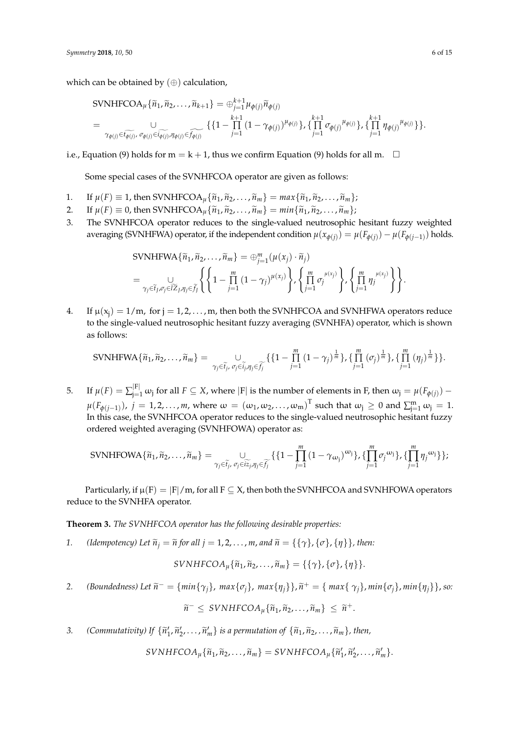which can be obtained by  $(\oplus)$  calculation,

$$
\text{SVMHFCOA}_{\mu}\{\tilde{n}_1, \tilde{n}_2, \dots, \tilde{n}_{k+1}\} = \bigoplus_{j=1}^{k+1} \mu_{\phi(j)} \tilde{n}_{\phi(j)}
$$
\n
$$
= \bigcup_{\gamma_{\phi(j)} \in \widetilde{f_{\phi(j)}}, \sigma_{\phi(j)} \in \widetilde{f_{\phi(j)}} \cup \widetilde{f_{\phi(j)}}} \{\{1 - \prod_{j=1}^{k+1} (1 - \gamma_{\phi(j)})^{\mu_{\phi(j)}}\}, \{\prod_{j=1}^{k+1} \sigma_{\phi(j)}^{\mu_{\phi(j)}}\}, \{\prod_{j=1}^{k+1} \eta_{\phi(j)}^{\mu_{\phi(j)}}\}\}.
$$

i.e., Equation (9) holds for  $m = k + 1$ , thus we confirm Equation (9) holds for all m.  $\Box$ 

Some special cases of the SVNHFCOA operator are given as follows:

- 
- 1. If  $\mu(F) \equiv 1$ , then SVNHFCOA<sub>µ</sub>{ $\tilde{n}_1, \tilde{n}_2, ..., \tilde{n}_m$ } =  $max{\{\tilde{n}_1, \tilde{n}_2, ..., \tilde{n}_m\}}$ ;<br>2. If  $\mu(F) \equiv 0$ , then SVNHFCOA<sub>u</sub>{ $\tilde{n}_1, \tilde{n}_2, ..., \tilde{n}_m$ } =  $min{\{\tilde{n}_1, \tilde{n}_2, ..., \tilde{n}_m\}}$ ; 2. If  $\mu(F) \equiv 0$ , then SVNHFCOA<sub> $\mu$ </sub>{ $\tilde{n}_1$ ,  $\tilde{n}_2$ , . . . ,  $\tilde{n}_m$ } = *min*{ $\tilde{n}_1$ ,  $\tilde{n}_2$ , . . . ,  $\tilde{n}_m$ };<br>3. The SVNHFCOA operator reduces to the single-valued neutrosophic
- 3. The SVNHFCOA operator reduces to the single-valued neutrosophic hesitant fuzzy weighted averaging (SVNHFWA) operator, if the independent condition  $\mu(x_{\phi(j)}) = \mu(F_{\phi(j)}) - \mu(F_{\phi(j-1)})$  holds.

$$
\text{SVMHFWA}\{\widetilde{n}_1,\widetilde{n}_2,\ldots,\widetilde{n}_m\} = \bigoplus_{j=1}^m (\mu(x_j) \cdot \widetilde{n}_j)
$$
\n
$$
= \bigcup_{\gamma_j \in \widetilde{t}_j, \sigma_j \in \widetilde{L}_j, \eta_j \in \widetilde{f}_j} \left\{ \left\{ 1 - \prod_{j=1}^m (1 - \gamma_j)^{\mu(x_j)} \right\}, \left\{ \prod_{j=1}^m \sigma_j^{\mu(x_j)} \right\}, \left\{ \prod_{j=1}^m \eta_j^{\mu(x_j)} \right\} \right\}.
$$

4. If  $\mu(x_i) = 1/m$ , for  $i = 1, 2, ..., m$ , then both the SVNHFCOA and SVNHFWA operators reduce to the single-valued neutrosophic hesitant fuzzy averaging (SVNHFA) operator, which is shown as follows:

$$
\text{SVMHFWA}\{\widetilde{n}_1,\widetilde{n}_2,\ldots,\widetilde{n}_m\} = \bigcup_{\gamma_j\in\widetilde{t}_j,\sigma_j\in\widetilde{t}_j,\eta_j\in\widetilde{f}_j}\{\{1-\prod_{j=1}^m(1-\gamma_j)^{\frac{1}{m}}\},\{\prod_{j=1}^m(\sigma_j)^{\frac{1}{m}}\},\{\prod_{j=1}^m(\eta_j)^{\frac{1}{m}}\}\}.
$$

5. If  $\mu(F) = \sum_{j=1}^{|F|} \omega_j$  for all  $F \subseteq X$ , where  $|F|$  is the number of elements in F, then  $\omega_j = \mu(F_{\phi(j)})$  –  $\mu(F_{\phi(j-1)}),\;j=1,2,\ldots,m,$  where  $\omega\,=\, \left(\omega_1,\omega_2,\ldots,\omega_m\right)^{\text{T}}$  such that  $\omega_j\,\geq\,0$  and  $\sum_{j=1}^m\omega_j\,=\,1.$ In this case, the SVNHFCOA operator reduces to the single-valued neutrosophic hesitant fuzzy ordered weighted averaging (SVNHFOWA) operator as:

$$
\text{SVMHFOWA}\{\widetilde{n}_1,\widetilde{n}_2,\ldots,\widetilde{n}_m\} = \bigcup_{\gamma_j\in\widetilde{t}_j,\,\sigma_j\in\widetilde{i}\widetilde{z}_j,\eta_j\in\widetilde{f}_j}\{\{1-\prod_{j=1}^m(1-\gamma_{\omega_j})^{\omega_j}\},\{\prod_{j=1}^m\sigma_j^{\omega_j}\},\{\prod_{j=1}^m\eta_j^{\omega_j}\}\};
$$

Particularly, if  $\mu(F) = |F|/m$ , for all  $F \subseteq X$ , then both the SVNHFCOA and SVNHFOWA operators reduce to the SVNHFA operator.

**Theorem 3.** *The SVNHFCOA operator has the following desirable properties:*

*1. (Idempotency) Let*  $\widetilde{n}_j = \widetilde{n}$  *for all*  $j = 1, 2, ..., m$ , *and*  $\widetilde{n} = \{\{\gamma\}, \{\sigma\}, \{\eta\}\}\$ , *then:* 

$$
SVNHFCOA_{\mu}\{\tilde{n}_1,\tilde{n}_2,\ldots,\tilde{n}_m\} = \{\{\gamma\},\{\sigma\},\{\eta\}\}.
$$

2. (Boundedness) Let  $\widetilde{n}^- = \{min\{\gamma_j\}$ ,  $max\{\sigma_j\}$ ,  $max\{\eta_j\}\}$ ,  $\widetilde{n}^+ = \{max\{\gamma_j\}$ ,  $min\{\sigma_j\}$ ,  $min\{\eta_j\}\}$ , so:

$$
\widetilde{n}^- \leq \text{SVNHFCOA}_{\mu}\{\widetilde{n}_1, \widetilde{n}_2, \ldots, \widetilde{n}_m\} \leq \widetilde{n}^+.
$$

3. *(Commutativity) If*  $\{\widetilde{n}'_1, \widetilde{n}'_2, \ldots, \widetilde{n}'_m\}$  *is a permutation of*  $\{\widetilde{n}_1, \widetilde{n}_2, \ldots, \widetilde{n}_m\}$ *, then,* 

$$
SVNHFCOA_{\mu}\{\widetilde{n}_1,\widetilde{n}_2,\ldots,\widetilde{n}_m\}= SVNHFCOA_{\mu}\{\widetilde{n}'_1,\widetilde{n}'_2,\ldots,\widetilde{n}'_m\}.
$$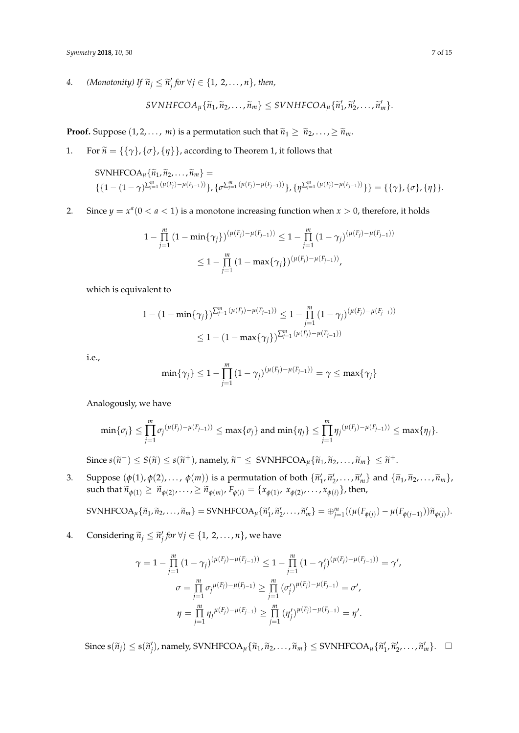*4. (Monotonity) If*  $\widetilde{n}_j \leq \widetilde{n}'_j$  for  $\forall j \in \{1, 2, \ldots, n\}$ , then,

$$
SVNHFCOA_{\mu}\{\widetilde{n}_1,\widetilde{n}_2,\ldots,\widetilde{n}_m\}\leq SVNHFCOA_{\mu}\{\widetilde{n}'_1,\widetilde{n}'_2,\ldots,\widetilde{n}'_m\}.
$$

**Proof.** Suppose  $(1, 2, ..., m)$  is a permutation such that  $\widetilde{n}_1 \geq \widetilde{n}_2, ..., \geq \widetilde{n}_m$ .

1. For  $\widetilde{n} = \{\{\gamma\}, \{\sigma\}, \{\eta\}\}\$ , according to Theorem 1, it follows that

$$
\text{SVMHFCOA}_{\mu} \{ \tilde{n}_1, \tilde{n}_2, \dots, \tilde{n}_m \} = \\ \{ \{ 1 - (1 - \gamma)^{\sum_{j=1}^m (\mu(F_j) - \mu(F_{j-1}))} \}, \{ \sigma^{\sum_{j=1}^m (\mu(F_j) - \mu(F_{j-1}))} \}, \{ \eta^{\sum_{j=1}^m (\mu(F_j) - \mu(F_{j-1}))} \} \} = \{ \{ \gamma \}, \{ \sigma \}, \{ \eta \} \}.
$$

2. Since  $y = x^a (0 < a < 1)$  is a monotone increasing function when  $x > 0$ , therefore, it holds

$$
1 - \prod_{j=1}^{m} (1 - \min{\{\gamma_j\}})^{(\mu(F_j) - \mu(F_{j-1}))} \le 1 - \prod_{j=1}^{m} (1 - \gamma_j)^{(\mu(F_j) - \mu(F_{j-1}))}
$$
  

$$
\le 1 - \prod_{j=1}^{m} (1 - \max{\{\gamma_j\}})^{(\mu(F_j) - \mu(F_{j-1}))},
$$

which is equivalent to

$$
\begin{aligned} 1 - (1 - \min\{\gamma_j\})^{\sum_{j=1}^m (\mu(F_j) - \mu(F_{j-1}))} &\le 1 - \prod_{j=1}^m (1 - \gamma_j)^{(\mu(F_j) - \mu(F_{j-1}))} \\ &\le 1 - (1 - \max\{\gamma_j\})^{\sum_{j=1}^m (\mu(F_j) - \mu(F_{j-1}))} \end{aligned}
$$

i.e.,

$$
\min\{\gamma_j\} \le 1 - \prod_{j=1}^m (1 - \gamma_j)^{(\mu(F_j) - \mu(F_{j-1}))} = \gamma \le \max\{\gamma_j\}
$$

Analogously, we have

$$
\min\{\sigma_j\} \le \prod_{j=1}^m \sigma_j(\mu(F_j) - \mu(F_{j-1})) \le \max\{\sigma_j\} \text{ and } \min\{\eta_j\} \le \prod_{j=1}^m \eta_j(\mu(F_j) - \mu(F_{j-1})) \le \max\{\eta_j\}.
$$

 $\text{Since } s(\widetilde{n}^-) \leq S(\widetilde{n}) \leq s(\widetilde{n}^+), \text{ namely, } \widetilde{n}^- \leq \text{ SVMHFCOA}_{\mu}\{\widetilde{n}_1, \widetilde{n}_2, \ldots, \widetilde{n}_m\} \leq \widetilde{n}^+.$ 

3. Suppose  $(\phi(1), \phi(2), \ldots, \phi(m))$  is a permutation of both  $\{\tilde{n}'_1, \tilde{n}'_2, \ldots, \tilde{n}'_m\}$  and  $\{\tilde{n}_1, \tilde{n}_2, \ldots, \tilde{n}_m\}$ ,  $\sup_{\phi}$  such that  $\widetilde{n}_{\phi(1)} \geq \widetilde{n}_{\phi(2)}, \ldots, \geq \widetilde{n}_{\phi(m)}, F_{\phi(i)} = \{x_{\phi(1)}, x_{\phi(2)}, \ldots, x_{\phi(i)}\},$  then,

$$
\text{SVMHFCOA}_{\mu}\{\widetilde{n}_1,\widetilde{n}_2,\ldots,\widetilde{n}_m\}=\text{SVMHFCOA}_{\mu}\{\widetilde{n}'_1,\widetilde{n}'_2,\ldots,\widetilde{n}'_m\}=\oplus_{j=1}^m((\mu(F_{\phi(j)})-\mu(F_{\phi(j-1)}))\widetilde{n}_{\phi(j)}).
$$

4. Considering  $\widetilde{n}_j \leq \widetilde{n}'_j$  *for*  $\forall j \in \{1, 2, ..., n\}$ , we have

$$
\gamma = 1 - \prod_{j=1}^{m} (1 - \gamma_j)^{(\mu(F_j) - \mu(F_{j-1}))} \le 1 - \prod_{j=1}^{m} (1 - \gamma'_j)^{(\mu(F_j) - \mu(F_{j-1}))} = \gamma',
$$
  

$$
\sigma = \prod_{j=1}^{m} \sigma_j^{\mu(F_j) - \mu(F_{j-1})} \ge \prod_{j=1}^{m} (\sigma'_j)^{\mu(F_j) - \mu(F_{j-1})} = \sigma',
$$
  

$$
\eta = \prod_{j=1}^{m} \eta_j^{\mu(F_j) - \mu(F_{j-1})} \ge \prod_{j=1}^{m} (\eta'_j)^{\mu(F_j) - \mu(F_{j-1})} = \eta'.
$$

 $\text{Since } \mathbf{s}(\widetilde{n}_j) \leq \mathbf{s}(\widetilde{n}'_j)$ , namely,  $\text{SVMHFCOA}_{\mu}\{\widetilde{n}_1, \widetilde{n}_2, \ldots, \widetilde{n}_m\} \leq \text{SVMHFCOA}_{\mu}\{\widetilde{n}'_1, \widetilde{n}'_2, \ldots, \widetilde{n}'_m\}.$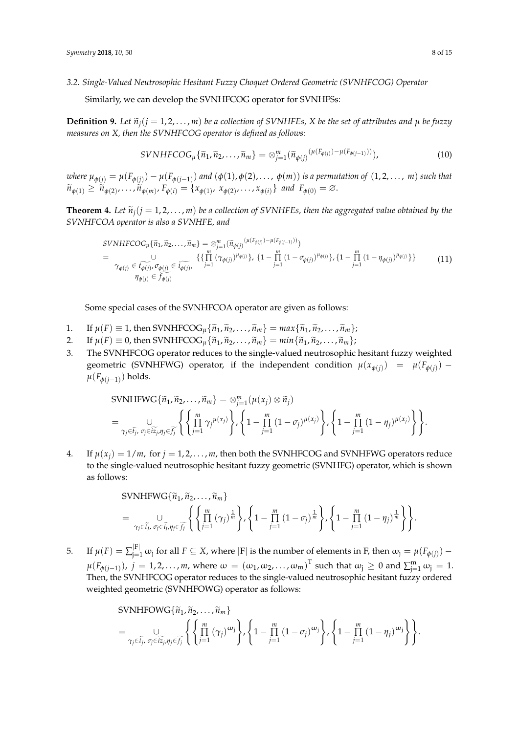#### *3.2. Single-Valued Neutrosophic Hesitant Fuzzy Choquet Ordered Geometric (SVNHFCOG) Operator*

Similarly, we can develop the SVNHFCOG operator for SVNHFSs:

**Definition 9.** Let  $\tilde{n}_i$  ( $j = 1, 2, ..., m$ ) be a collection of SVNHFEs, X be the set of attributes and  $\mu$  be fuzzy *measures on X, then the SVNHFCOG operator is defined as follows:*

$$
SVNHFCOG_{\mu}\{\widetilde{n}_1,\widetilde{n}_2,\ldots,\widetilde{n}_m\}=\otimes_{j=1}^m(\widetilde{n}_{\phi(j)}^{(\mu(F_{\phi(j)})-\mu(F_{\phi(j-1)}))}),
$$
\n(10)

where  $\mu_{\phi(j)}=\mu(F_{\phi(j)})-\mu(F_{\phi(j-1)})$  and  $(\phi(1),\phi(2),\ldots,$   $\phi(m))$  is a permutation of  $(1,2,\ldots,$  m) such that  $\widetilde{n}_{\phi(1)} \geq \widetilde{n}_{\phi(2)}, \ldots, \widetilde{n}_{\phi(m)}, F_{\phi(i)} = \{x_{\phi(1)}, x_{\phi(2)}, \ldots, x_{\phi(i)}\}$  and  $F_{\phi(0)} = \emptyset$ .

**Theorem 4.** Let  $\tilde{n}_j$ ( $j = 1, 2, ..., m$ ) *be a collection of SVNHFEs, then the aggregated value obtained by the SVNHFCOA operator is also a SVNHFE, and*

$$
SVMHFCOG_{\mu}\{\tilde{n}_1, \tilde{n}_2, ..., \tilde{n}_m\} = \otimes_{j=1}^m (\tilde{n}_{\phi(j)}^{( \mu(F_{\phi(j)}) - \mu(F_{\phi(j-1)}))})
$$
\n
$$
= \bigcup_{\substack{\gamma_{\phi(j)} \in \widetilde{t_{\phi(j)}}, \sigma_{\phi(j)} \in \widetilde{t_{\phi(j)}}}} \{\{\prod_{j=1}^m (\gamma_{\phi(j)})^{\mu_{\phi(j)}}\}, \{1 - \prod_{j=1}^m (1 - \sigma_{\phi(j)})^{\mu_{\phi(j)}}\}, \{1 - \prod_{j=1}^m (1 - \eta_{\phi(j)})^{\mu_{\phi(j)}}\}\}\n\tag{11}
$$

Some special cases of the SVNHFCOA operator are given as follows:

1. If  $\mu(F) \equiv 1$ , then SVNHFCOG<sub>µ</sub>{ $\tilde{n}_1, \tilde{n}_2, ..., \tilde{n}_m$ } =  $max{\{\tilde{n}_1, \tilde{n}_2, ..., \tilde{n}_m\}}$ ;<br>2. If  $\mu(F) \equiv 0$ , then SVNHFCOG<sub>u</sub>{ $\tilde{n}_1, \tilde{n}_2, ..., \tilde{n}_m$ } =  $min{\{\tilde{n}_1, \tilde{n}_2, ..., \tilde{n}_m\}}$ ;

- 2. If  $\mu(F) \equiv 0$ , then SVNHFCOG<sub> $\mu$ </sub>{ $\tilde{n}_1$ ,  $\tilde{n}_2$ , . . . ,  $\tilde{n}_m$ } = *min*{ $\tilde{n}_1$ ,  $\tilde{n}_2$ , . . . ,  $\tilde{n}_m$ };<br>3. The SVNHFCOG operator reduces to the single-valued neutrosophic
- The SVNHFCOG operator reduces to the single-valued neutrosophic hesitant fuzzy weighted geometric (SVNHFWG) operator, if the independent condition  $\mu(x_{\phi(j)}) = \mu(F_{\phi(j)})$  – *µ*(*Fφ*(*j*−1) ) holds.

$$
\text{SVMHFWG}\lbrace \widetilde{n}_1, \widetilde{n}_2, \ldots, \widetilde{n}_m \rbrace = \otimes_{j=1}^m (\mu(x_j) \otimes \widetilde{n}_j)
$$
\n
$$
= \bigcup_{\gamma_j \in \widetilde{t_j}, \sigma_j \in \widetilde{t_2}, \eta_j \in \widetilde{f_j}} \left\{ \left\{ \prod_{j=1}^m \gamma_j^{\mu(x_j)} \right\}, \left\{ 1 - \prod_{j=1}^m (1 - \sigma_j)^{\mu(x_j)} \right\}, \left\{ 1 - \prod_{j=1}^m (1 - \eta_j)^{\mu(x_j)} \right\} \right\}.
$$

4. If  $\mu(x_i) = 1/m$ , for  $j = 1, 2, \ldots, m$ , then both the SVNHFCOG and SVNHFWG operators reduce to the single-valued neutrosophic hesitant fuzzy geometric (SVNHFG) operator, which is shown as follows:

$$
\text{SVMHFWG}\lbrace \widetilde{n}_1, \widetilde{n}_2, \ldots, \widetilde{n}_m \rbrace \\
= \bigcup_{\gamma_j \in \widetilde{t}_j, \sigma_j \in \widetilde{t}_j, \eta_j \in \widetilde{f}_j} \left\lbrace \left\lbrace \prod_{j=1}^m (\gamma_j)^{\frac{1}{m}} \right\rbrace, \left\lbrace 1 - \prod_{j=1}^m (1 - \sigma_j)^{\frac{1}{m}} \right\rbrace, \left\lbrace 1 - \prod_{j=1}^m (1 - \eta_j)^{\frac{1}{m}} \right\rbrace \right\rbrace.
$$

5. If  $\mu(F) = \sum_{j=1}^{|F|} \omega_j$  for all  $F \subseteq X$ , where  $|F|$  is the number of elements in F, then  $\omega_j = \mu(F_{\phi(j)})$  –  $\mu(F_{\phi(j-1)}),\;j=1,2,\ldots,m,$  where  $\omega\,=\, \left(\omega_1,\omega_2,\ldots,\omega_m\right)^{\text{T}}$  such that  $\omega_j\,\geq\,0$  and  $\sum_{j=1}^m\omega_j\,=\,1.$ Then, the SVNHFCOG operator reduces to the single-valued neutrosophic hesitant fuzzy ordered weighted geometric (SVNHFOWG) operator as follows:

$$
\text{SVMHFOWG}\left\{\widetilde{n}_{1}, \widetilde{n}_{2}, \ldots, \widetilde{n}_{m}\right\} \\
= \bigcup_{\gamma_{j} \in \widetilde{t_{j}}, \sigma_{j} \in \widetilde{i_{2}}; \eta_{j} \in \widetilde{f_{j}}}\left\{\left\{\prod_{j=1}^{m} \left(\gamma_{j}\right)^{\omega_{j}}\right\}, \left\{1 - \prod_{j=1}^{m} \left(1 - \sigma_{j}\right)^{\omega_{j}}\right\}, \left\{1 - \prod_{j=1}^{m} \left(1 - \eta_{j}\right)^{\omega_{j}}\right\}\right\}.
$$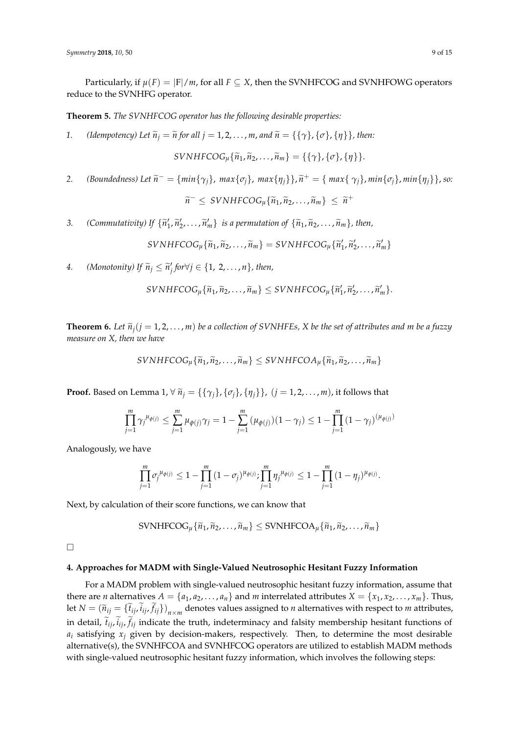Particularly, if  $\mu(F) = |F|/m$ , for all  $F \subseteq X$ , then the SVNHFCOG and SVNHFOWG operators reduce to the SVNHFG operator.

**Theorem 5.** *The SVNHFCOG operator has the following desirable properties:*

*1. (Idempotency) Let*  $\tilde{n}_i = \tilde{n}$  *for all*  $i = 1, 2, ..., m$ *, and*  $\tilde{n} = \{\{\gamma\}, \{\sigma\}, \{\eta\}\}\$ , then:

 $SVMHFCOG_u{\{\tilde{n}_1,\tilde{n}_2,\ldots,\tilde{n}_m\}} = {\{\{\gamma\},\{\sigma\},\{\eta\}\}}.$ 

2. (Boundedness) Let  $\widetilde{n}^- = \{min\{\gamma_j\}$ ,  $max\{\sigma_j\}$ ,  $max\{\eta_j\}\}$ ,  $\widetilde{n}^+ = \{max\{\gamma_j\}$ ,  $min\{\sigma_j\}$ ,  $min\{\eta_j\}\}$ , so:

$$
\widetilde{n}^- \leq \text{SVNHFCOG}_{\mu} \{ \widetilde{n}_1, \widetilde{n}_2, \ldots, \widetilde{n}_m \} \leq \widetilde{n}^+
$$

3. *(Commutativity) If*  $\{\tilde{n}'_1, \tilde{n}'_2, \ldots, \tilde{n}'_m\}$  *is a permutation of*  $\{\tilde{n}_1, \tilde{n}_2, \ldots, \tilde{n}_m\}$ *, then,* 

$$
SVNHFCOG_{\mu}\{\widetilde{n}_1,\widetilde{n}_2,\ldots,\widetilde{n}_m\}= SVNHFCOG_{\mu}\{\widetilde{n}'_1,\widetilde{n}'_2,\ldots,\widetilde{n}'_m\}
$$

 $4.$  *(Monotonity)* If  $\widetilde{n}_j \leq \widetilde{n}'_j$  for $\forall j \in \{1, 2, ..., n\}$ , then,

$$
SVNHFCOG_{\mu}\{\widetilde{n}_1,\widetilde{n}_2,\ldots,\widetilde{n}_m\}\leq SVNHFCOG_{\mu}\{\widetilde{n}'_1,\widetilde{n}'_2,\ldots,\widetilde{n}'_m\}.
$$

**Theorem 6.** Let  $\tilde{n}_i$  ( $j = 1, 2, ..., m$ ) be a collection of SVNHFEs, X be the set of attributes and m be a fuzzy *measure on X, then we have*

$$
SVNHFCOG_{\mu}\{\widetilde{n}_1,\widetilde{n}_2,\ldots,\widetilde{n}_m\}\leq SVNHFCOA_{\mu}\{\widetilde{n}_1,\widetilde{n}_2,\ldots,\widetilde{n}_m\}
$$

**Proof.** Based on Lemma 1,  $\forall \tilde{n}_j = {\{\{\gamma_j\}, \{\sigma_j\}, \{\eta_j\}\}, (j = 1, 2, ..., m)}$ , it follows that

$$
\prod_{j=1}^m \gamma_j^{\mu_{\phi(j)}} \le \sum_{j=1}^m \mu_{\phi(j)} \gamma_j = 1 - \sum_{j=1}^m (\mu_{\phi(j)})(1 - \gamma_j) \le 1 - \prod_{j=1}^m (1 - \gamma_j)^{(\mu_{\phi(j)})}
$$

Analogously, we have

$$
\prod_{j=1}^m \sigma_j^{\mu_{\phi(j)}} \leq 1 - \prod_{j=1}^m (1 - \sigma_j)^{\mu_{\phi(j)}} \prod_{j=1}^m \eta_j^{\mu_{\phi(j)}} \leq 1 - \prod_{j=1}^m (1 - \eta_j)^{\mu_{\phi(j)}}.
$$

Next, by calculation of their score functions, we can know that

$$
\text{SVMHFCOG}_{\mu}\{\widetilde{n}_1,\widetilde{n}_2,\ldots,\widetilde{n}_m\} \leq \text{SVMHFCOA}_{\mu}\{\widetilde{n}_1,\widetilde{n}_2,\ldots,\widetilde{n}_m\}
$$

 $\Box$ 

# <span id="page-8-0"></span>**4. Approaches for MADM with Single-Valued Neutrosophic Hesitant Fuzzy Information**

For a MADM problem with single-valued neutrosophic hesitant fuzzy information, assume that there are *n* alternatives  $A = \{a_1, a_2, \ldots, a_n\}$  and *m* interrelated attributes  $X = \{x_1, x_2, \ldots, x_m\}$ . Thus, let  $N = (\widetilde{n}_{ij} = {\tilde{t}_{ij}, i_{ij}, f_{ij}})_{n \times m}$  denotes values assigned to *n* alternatives with respect to *m* attributes, in detail,  $t_{ij}$ ,  $i_{ij}$ ,  $f_{ij}$  indicate the truth, indeterminacy and falsity membership hesitant functions of  $a_i$  satisfying  $x_j$  given by decision-makers, respectively. Then, to determine the most desirable alternative(s), the SVNHFCOA and SVNHFCOG operators are utilized to establish MADM methods with single-valued neutrosophic hesitant fuzzy information, which involves the following steps: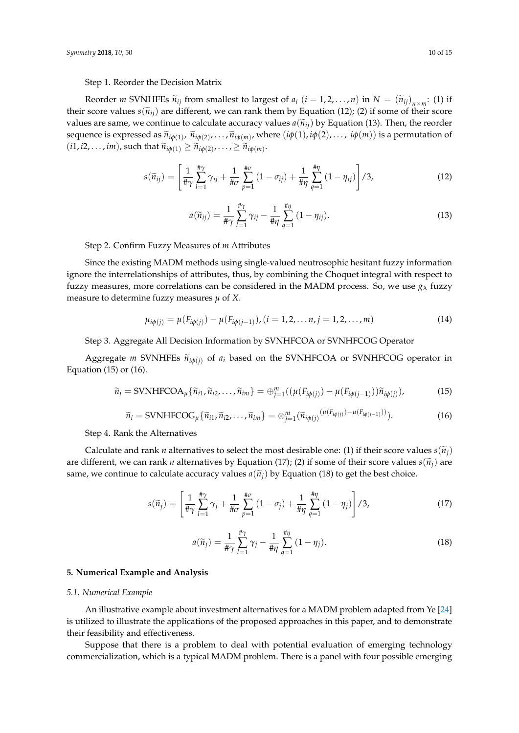Step 1. Reorder the Decision Matrix

Reorder *m* SVNHFEs  $\tilde{n}_{ij}$  from smallest to largest of  $a_i$  ( $i = 1, 2, ..., n$ ) in  $N = (\tilde{n}_{ij})_{n \times m}$ : (1) if their score values  $s(\tilde{n}_{ij})$  are different, we can rank them by Equation (12); (2) if some of their score values are same, we continue to calculate accuracy values  $a(\tilde{n}_{ij})$  by Equation (13). Then, the reorder sequence is expressed as  $\widetilde{n}_{i\phi(1)}, \widetilde{n}_{i\phi(2)}, \ldots, \widetilde{n}_{i\phi(m)},$  where  $(i\phi(1), i\phi(2), \ldots, i\phi(m))$  is a permutation of  $(i1, i2, \ldots, im)$ , such that  $\widetilde{n}_{i\phi(1)} \geq \widetilde{n}_{i\phi(2)}, \ldots, \geq \widetilde{n}_{i\phi(m)}.$ 

$$
s(\widetilde{n}_{ij}) = \left[\frac{1}{\# \gamma} \sum_{l=1}^{\# \gamma} \gamma_{ij} + \frac{1}{\# \sigma} \sum_{p=1}^{\# \sigma} (1 - \sigma_{ij}) + \frac{1}{\# \eta} \sum_{q=1}^{\# \eta} (1 - \eta_{ij})\right] / 3, \tag{12}
$$

$$
a(\widetilde{n}_{ij}) = \frac{1}{\#\gamma} \sum_{l=1}^{\#\gamma} \gamma_{ij} - \frac{1}{\#\eta} \sum_{q=1}^{\#\eta} (1 - \eta_{ij}).
$$
 (13)

Step 2. Confirm Fuzzy Measures of *m* Attributes

Since the existing MADM methods using single-valued neutrosophic hesitant fuzzy information ignore the interrelationships of attributes, thus, by combining the Choquet integral with respect to fuzzy measures, more correlations can be considered in the MADM process. So, we use  $g_{\lambda}$  fuzzy measure to determine fuzzy measures  $\mu$  of *X*.

$$
\mu_{i\phi(j)} = \mu(F_{i\phi(j)}) - \mu(F_{i\phi(j-1)}), (i = 1, 2, \dots n, j = 1, 2, \dots, m)
$$
\n(14)

Step 3. Aggregate All Decision Information by SVNHFCOA or SVNHFCOG Operator

Aggregate *m* SVNHFEs  $\tilde{n}_{i\phi(j)}$  of  $a_i$  based on the SVNHFCOA or SVNHFCOG operator in Equation (15) or (16).

$$
\widetilde{n}_i = \text{SVMHFCOA}_{\mu} \{ \widetilde{n}_{i1}, \widetilde{n}_{i2}, \dots, \widetilde{n}_{im} \} = \bigoplus_{j=1}^m \left( (\mu(F_{i\phi(j)}) - \mu(F_{i\phi(j-1)})) \widetilde{n}_{i\phi(j)} \right),\tag{15}
$$

$$
\widetilde{n}_i = \text{SVMHFCOG}_{\mu} \{ \widetilde{n}_{i1}, \widetilde{n}_{i2}, \dots, \widetilde{n}_{im} \} = \otimes_{j=1}^m (\widetilde{n}_{i\phi(j)})^{(\mu(F_{i\phi(j)}) - \mu(F_{i\phi(j-1)}))}.
$$
\n(16)

Step 4. Rank the Alternatives

Calculate and rank *n* alternatives to select the most desirable one: (1) if their score values  $s(\tilde{n}_i)$ are different, we can rank *n* alternatives by Equation (17); (2) if some of their score values  $s(\tilde{n}_i)$  are same, we continue to calculate accuracy values  $a(\tilde{n}_i)$  by Equation (18) to get the best choice.

$$
s(\widetilde{n}_j) = \left[ \frac{1}{\# \gamma} \sum_{l=1}^{\# \gamma} \gamma_j + \frac{1}{\# \sigma} \sum_{p=1}^{\# \sigma} (1 - \sigma_j) + \frac{1}{\# \eta} \sum_{q=1}^{\# \eta} (1 - \eta_j) \right] / 3, \tag{17}
$$

$$
a(\widetilde{n}_j) = \frac{1}{\#\gamma} \sum_{l=1}^{\#\gamma} \gamma_j - \frac{1}{\#\eta} \sum_{q=1}^{\#\eta} (1 - \eta_j).
$$
 (18)

#### <span id="page-9-0"></span>**5. Numerical Example and Analysis**

#### *5.1. Numerical Example*

An illustrative example about investment alternatives for a MADM problem adapted from Ye [\[24\]](#page-14-7) is utilized to illustrate the applications of the proposed approaches in this paper, and to demonstrate their feasibility and effectiveness.

Suppose that there is a problem to deal with potential evaluation of emerging technology commercialization, which is a typical MADM problem. There is a panel with four possible emerging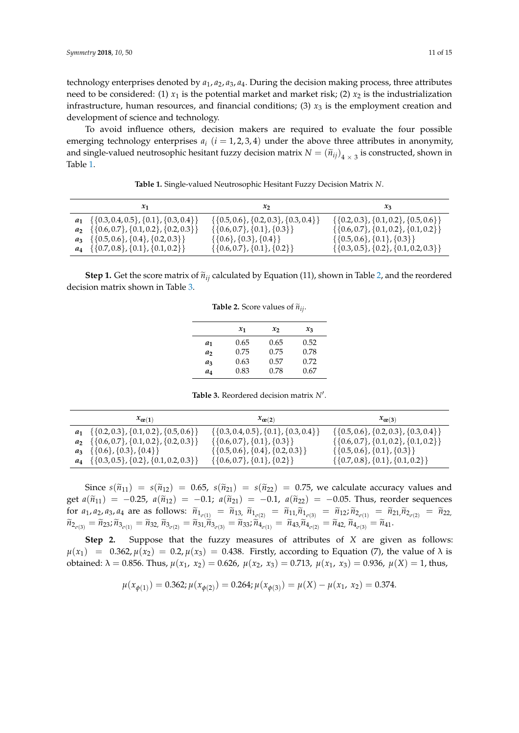technology enterprises denoted by *a*1, *a*2, *a*3, *a*4. During the decision making process, three attributes need to be considered: (1)  $x_1$  is the potential market and market risk; (2)  $x_2$  is the industrialization infrastructure, human resources, and financial conditions; (3)  $x_3$  is the employment creation and development of science and technology.

To avoid influence others, decision makers are required to evaluate the four possible emerging technology enterprises  $a_i$  ( $i = 1, 2, 3, 4$ ) under the above three attributes in anonymity, and single-valued neutrosophic hesitant fuzzy decision matrix  $N = \left(\widetilde{n}_{ij}\right)_{4 \times 3}$  is constructed, shown in<br>Table 1 Table [1.](#page-10-0)

<span id="page-10-0"></span>

| $x_1$                                                      | $x_2$                                           | $x_3$                                           |
|------------------------------------------------------------|-------------------------------------------------|-------------------------------------------------|
| $a_1 \quad \{ \{0.3, 0.4, 0.5\}, \{0.1\}, \{0.3, 0.4\} \}$ | $\{\{0.5, 0.6\}, \{0.2, 0.3\}, \{0.3, 0.4\}\}\$ | $\{\{0.2, 0.3\}, \{0.1, 0.2\}, \{0.5, 0.6\}\}\$ |
| $a_2 \quad \{ \{0.6, 0.7\}, \{0.1, 0.2\}, \{0.2, 0.3\} \}$ | $\{\{0.6, 0.7\}, \{0.1\}, \{0.3\}\}\$           | $\{\{0.6, 0.7\}, \{0.1, 0.2\}, \{0.1, 0.2\}\}\$ |
| $a_3 \quad \{ \{0.5, 0.6\}, \{0.4\}, \{0.2, 0.3\} \}$      | $\{\{0.6\}, \{0.3\}, \{0.4\}\}\$                | $\{\{0.5, 0.6\}, \{0.1\}, \{0.3\}\}\$           |
| $a_4 \quad \{ \{0.7, 0.8\}, \{0.1\}, \{0.1, 0.2\} \}$      | $\{\{0.6, 0.7\}, \{0.1\}, \{0.2\}\}\$           | $\{\{0.3, 0.5\}, \{0.2\}, \{0.1, 0.2, 0.3\}\}\$ |

**Table 1.** Single-valued Neutrosophic Hesitant Fuzzy Decision Matrix *N*.

<span id="page-10-1"></span>**Step 1.** Get the score matrix of  $\tilde{n}_{ij}$  calculated by Equation (11), shown in Table [2,](#page-10-1) and the reordered decision matrix shown in Table [3.](#page-10-2)

**Table 2.** Score values of  $\tilde{n}_{ij}$ .

|                | $\mathcal{X}_1$ | $\mathfrak{X}$ | $x_3$ |
|----------------|-----------------|----------------|-------|
| a1             | 0.65            | 0.65           | 0.52  |
| a <sub>2</sub> | 0.75            | 0.75           | 0.78  |
| $a_3$          | 0.63            | 0.57           | 0.72  |
| aΔ             | 0.83            | 0.78           | 0.67  |

Table 3. Reordered decision matrix N'.

<span id="page-10-2"></span>

| $x_{\alpha(1)}$                                            | $x_{\alpha(2)}$                                 | $x_{\alpha(3)}$                                 |
|------------------------------------------------------------|-------------------------------------------------|-------------------------------------------------|
| $a_1 \quad \{ \{0.2, 0.3\}, \{0.1, 0.2\}, \{0.5, 0.6\} \}$ | $\{\{0.3, 0.4, 0.5\}, \{0.1\}, \{0.3, 0.4\}\}\$ | $\{\{0.5, 0.6\}, \{0.2, 0.3\}, \{0.3, 0.4\}\}\$ |
| $a_2 \quad \{ \{0.6, 0.7\}, \{0.1, 0.2\}, \{0.2, 0.3\} \}$ | $\{\{0.6, 0.7\}, \{0.1\}, \{0.3\}\}\$           | $\{\{0.6, 0.7\}, \{0.1, 0.2\}, \{0.1, 0.2\}\}\$ |
| $a_3 \quad \{\{0.6\}, \{0.3\}, \{0.4\}\}\$                 | $\{\{0.5, 0.6\}, \{0.4\}, \{0.2, 0.3\}\}\$      | $\{\{0.5, 0.6\}, \{0.1\}, \{0.3\}\}\$           |
| $a_4 \quad \{ \{0.3, 0.5\}, \{0.2\}, \{0.1, 0.2, 0.3\} \}$ | $\{\{0.6, 0.7\}, \{0.1\}, \{0.2\}\}\$           | $\{\{0.7, 0.8\}, \{0.1\}, \{0.1, 0.2\}\}\$      |

Since  $s(\tilde{n}_{11}) = s(\tilde{n}_{12}) = 0.65$ ,  $s(\tilde{n}_{21}) = s(\tilde{n}_{22}) = 0.75$ , we calculate accuracy values and get  $a(\tilde{n}_{11}) = -0.25$ ,  $a(\tilde{n}_{12}) = -0.1$ ;  $a(\tilde{n}_{21}) = -0.1$ ,  $a(\tilde{n}_{22}) = -0.05$ . Thus, reorder sequences for  $a_1, a_2, a_3, a_4$  are as follows:  $\widetilde{n}_{1_{\sigma(1)}} = \widetilde{n}_{13}, \widetilde{n}_{1_{\sigma(2)}} = \widetilde{n}_{11} \widetilde{n}_{1_{\sigma(3)}} = \widetilde{n}_{12} \widetilde{n}_{2_{\sigma(1)}} = \widetilde{n}_{21} \widetilde{n}_{2_{\sigma(2)}} = \widetilde{n}_{22}$  $\widetilde{n}_{2_{\sigma(3)}}=\widetilde{n}_{23};\widetilde{n}_{3_{\sigma(1)}}=\widetilde{n}_{32},\widetilde{n}_{3_{\sigma(2)}}=\widetilde{n}_{31}\widetilde{n}_{3_{\sigma(3)}}=\widetilde{n}_{33};\widetilde{n}_{4_{\sigma(1)}}=\widetilde{n}_{43}\widetilde{n}_{4_{\sigma(2)}}=\widetilde{n}_{42},\widetilde{n}_{4_{\sigma(3)}}=\widetilde{n}_{41}.$ 

**Step 2.** Suppose that the fuzzy measures of attributes of *X* are given as follows:  $\mu(x_1) = 0.362, \mu(x_2) = 0.2, \mu(x_3) = 0.438$ . Firstly, according to Equation (7), the value of  $\lambda$  is obtained: λ = 0.856. Thus, *µ*(*x*1, *x*2) = 0.626, *µ*(*x*2, *x*3) = 0.713, *µ*(*x*1, *x*3) = 0.936, *µ*(*X*) = 1, thus,

$$
\mu(x_{\phi(1)}) = 0.362; \mu(x_{\phi(2)}) = 0.264; \mu(x_{\phi(3)}) = \mu(X) - \mu(x_1, x_2) = 0.374.
$$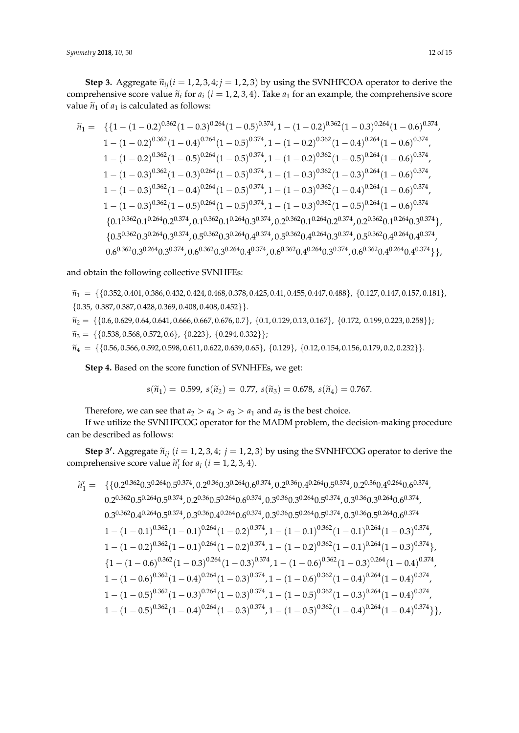**Step 3.** Aggregate  $\tilde{n}_{ij}$ ( $i = 1, 2, 3, 4; j = 1, 2, 3$ ) by using the SVNHFCOA operator to derive the comprehensive score value  $\tilde{n}_i$  for  $a_i$  ( $i = 1, 2, 3, 4$ ). Take  $a_1$  for an example, the comprehensive score value  $\widetilde{n}_1$  of  $a_1$  is calculated as follows:

$$
\begin{aligned}\n\tilde{n}_1 &= \quad & \{ \{ 1 - (1 - 0.2)^{0.362} (1 - 0.3)^{0.264} (1 - 0.5)^{0.374}, 1 - (1 - 0.2)^{0.362} (1 - 0.3)^{0.264} (1 - 0.6)^{0.374}, \right. \\
&1 - (1 - 0.2)^{0.362} (1 - 0.4)^{0.264} (1 - 0.5)^{0.374}, 1 - (1 - 0.2)^{0.362} (1 - 0.4)^{0.264} (1 - 0.6)^{0.374}, \\
&1 - (1 - 0.2)^{0.362} (1 - 0.5)^{0.264} (1 - 0.5)^{0.374}, 1 - (1 - 0.2)^{0.362} (1 - 0.5)^{0.264} (1 - 0.6)^{0.374}, \\
&1 - (1 - 0.3)^{0.362} (1 - 0.3)^{0.264} (1 - 0.5)^{0.374}, 1 - (1 - 0.3)^{0.362} (1 - 0.3)^{0.264} (1 - 0.6)^{0.374}, \\
&1 - (1 - 0.3)^{0.362} (1 - 0.4)^{0.264} (1 - 0.5)^{0.374}, 1 - (1 - 0.3)^{0.362} (1 - 0.4)^{0.264} (1 - 0.6)^{0.374}, \\
&1 - (1 - 0.3)^{0.362} (1 - 0.5)^{0.264} (1 - 0.5)^{0.374}, 1 - (1 - 0.3)^{0.362} (1 - 0.5)^{0.264} (1 - 0.6)^{0.374}, \\
&1 - (1 - 0.3)^{0.362} (1 - 0.5)^{0.264} (1 - 0.5)^{0.374}, 1 - (1 - 0.3)^{0.362} (1 - 0.5)^{0.264} (1 - 0.6)^{0.374}, \\
&1 - (1 - 0.3)^{0.362} (1 - 0.5)^{0.264} (1 - 0.5)^{0.37
$$

and obtain the following collective SVNHFEs:

 $\tilde{n}_1 = \{ \{0.352, 0.401, 0.386, 0.432, 0.424, 0.468, 0.378, 0.425, 0.41, 0.455, 0.447, 0.488 \}, \{0.127, 0.147, 0.157, 0.181 \},\}$  $\{0.35, 0.387, 0.387, 0.428, 0.369, 0.408, 0.408, 0.452\}$ .  $\tilde{n}_2 = \{ \{0.6, 0.629, 0.64, 0.641, 0.666, 0.667, 0.676, 0.7\}, \{0.1, 0.129, 0.13, 0.167\}, \{0.172, 0.199, 0.223, 0.258\}\};$  $\widetilde{n}_3 = \{\{0.538, 0.568, 0.572, 0.6\}, \{0.223\}, \{0.294, 0.332\}\};$  $\tilde{n}_4 = \{ \{0.56, 0.566, 0.592, 0.598, 0.611, 0.622, 0.639, 0.65 \}, \{0.129\}, \{0.12, 0.154, 0.156, 0.179, 0.2, 0.232 \} \}.$ 

**Step 4.** Based on the score function of SVNHFEs, we get:

$$
s(\widetilde{n}_1) = 0.599, s(\widetilde{n}_2) = 0.77, s(\widetilde{n}_3) = 0.678, s(\widetilde{n}_4) = 0.767.
$$

Therefore, we can see that  $a_2 > a_4 > a_3 > a_1$  and  $a_2$  is the best choice.

If we utilize the SVNHFCOG operator for the MADM problem, the decision-making procedure can be described as follows:

**Step 3<sup>'</sup>.** Aggregate  $\widetilde{n}_{ij}$  ( $i = 1, 2, 3, 4$ ;  $j = 1, 2, 3$ ) by using the SVNHFCOG operator to derive the comprehensive score value  $\tilde{n}'_i$  for  $a_i$  (*i* = 1, 2, 3, 4).

$$
\begin{aligned}\n\widetilde{n}'_1 &= \{ \{ 0.2^{0.362} 0.3^{0.264} 0.5^{0.374}, 0.2^{0.36} 0.3^{0.264} 0.6^{0.374}, 0.2^{0.36} 0.4^{0.264} 0.5^{0.374}, 0.2^{0.36} 0.4^{0.264} 0.6^{0.374}, \\
&0.2^{0.362} 0.5^{0.264} 0.5^{0.374}, 0.2^{0.36} 0.5^{0.264} 0.6^{0.374}, 0.3^{0.36} 0.3^{0.264} 0.5^{0.374}, 0.3^{0.36} 0.3^{0.264} 0.6^{0.374}, \\
&0.3^{0.362} 0.4^{0.264} 0.5^{0.374}, 0.3^{0.36} 0.4^{0.264} 0.6^{0.374}, 0.3^{0.36} 0.5^{0.264} 0.5^{0.374}, 0.3^{0.36} 0.5^{0.264} 0.6^{0.374}, \\
&1 - (1 - 0.1)^{0.362} (1 - 0.1)^{0.264} (1 - 0.2)^{0.374}, 1 - (1 - 0.1)^{0.362} (1 - 0.1)^{0.264} (1 - 0.3)^{0.374}, \\
&1 - (1 - 0.6)^{0.362} (1 - 0.1)^{0.264} (1 - 0.2)^{0.374}, 1 - (1 - 0.6)^{0.362} (1 - 0.1)^{0.264} (1 - 0.3)^{0.374}, \\
&1 - (1 - 0.6)^{0.362} (1 - 0.3)^{0.264} (1 - 0.3)^{0.374}, 1 - (1 - 0.6)^{0.362} (1 - 0.4)^{0.362}, \\
&1 - (1 - 0.5)^{0.362} (1 - 0.3)^{0.264} (1 - 0.3)^{0.374}, 1 - (1 - 0.5)^{0.362}
$$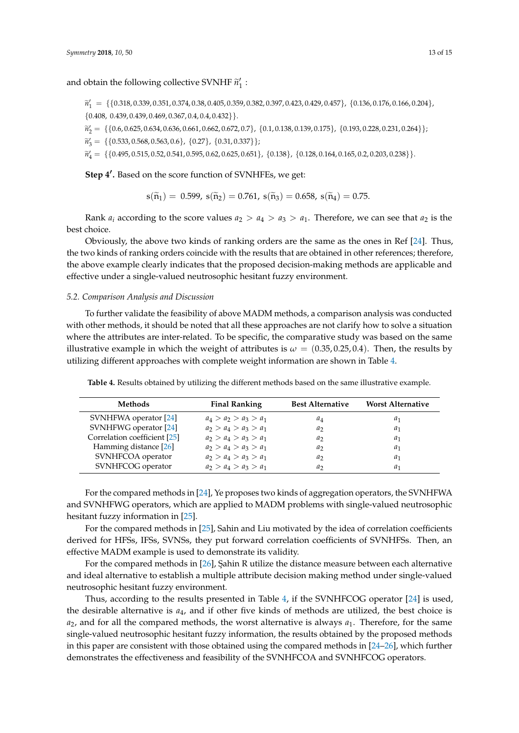and obtain the following collective SVNHF  $\widetilde{n}'_1$  :

 $\tilde{n}'_1 = \{ \{0.318, 0.339, 0.351, 0.374, 0.38, 0.405, 0.359, 0.382, 0.397, 0.423, 0.429, 0.457\}, \{0.136, 0.176, 0.166, 0.204\},\}$  $\{0.408, 0.439, 0.439, 0.469, 0.367, 0.4, 0.4, 0.432\}$ .

 $\tilde{n}'_2 = \{ \{0.6, 0.625, 0.634, 0.636, 0.661, 0.662, 0.672, 0.7\}, \{0.1, 0.138, 0.139, 0.175\}, \{0.193, 0.228, 0.231, 0.264\} \};$ 

$$
\tilde{n}'_3 = \{ \{0.533, 0.568, 0.563, 0.6\}, \{0.27\}, \{0.31, 0.337\} \};
$$

 $\tilde{n}'_4 = \{ \{0.495, 0.515, 0.52, 0.541, 0.595, 0.62, 0.625, 0.651\}, \{0.138\}, \{0.128, 0.164, 0.165, 0.2, 0.203, 0.238\} \}.$ 

Step 4'. Based on the score function of SVNHFEs, we get:

$$
s(\tilde{n}_1) = 0.599
$$
,  $s(\tilde{n}_2) = 0.761$ ,  $s(\tilde{n}_3) = 0.658$ ,  $s(\tilde{n}_4) = 0.75$ .

Rank  $a_i$  according to the score values  $a_2 > a_4 > a_3 > a_1$ . Therefore, we can see that  $a_2$  is the best choice.

Obviously, the above two kinds of ranking orders are the same as the ones in Ref [\[24\]](#page-14-7). Thus, the two kinds of ranking orders coincide with the results that are obtained in other references; therefore, the above example clearly indicates that the proposed decision-making methods are applicable and effective under a single-valued neutrosophic hesitant fuzzy environment.

#### *5.2. Comparison Analysis and Discussion*

To further validate the feasibility of above MADM methods, a comparison analysis was conducted with other methods, it should be noted that all these approaches are not clarify how to solve a situation where the attributes are inter-related. To be specific, the comparative study was based on the same illustrative example in which the weight of attributes is  $\omega = (0.35, 0.25, 0.4)$ . Then, the results by utilizing different approaches with complete weight information are shown in Table [4.](#page-12-0)

| Methods                      | <b>Final Ranking</b>    | <b>Best Alternative</b> | <b>Worst Alternative</b> |
|------------------------------|-------------------------|-------------------------|--------------------------|
| SVNHFWA operator [24]        | $a_4 > a_2 > a_3 > a_1$ | $a_4$                   | $a_1$                    |
| SVNHFWG operator [24]        | $a_2 > a_4 > a_3 > a_1$ | a <sub>2</sub>          | $a_1$                    |
| Correlation coefficient [25] | $a_2 > a_4 > a_3 > a_1$ | a <sub>2</sub>          | $a_1$                    |
| Hamming distance [26]        | $a_2 > a_4 > a_3 > a_1$ | a <sub>2</sub>          | $a_1$                    |
| SVNHFCOA operator            | $a_2 > a_4 > a_3 > a_1$ | a <sub>2</sub>          | $a_1$                    |
| SVNHFCOG operator            | $a_2 > a_4 > a_3 > a_1$ | a۶                      | $a_1$                    |

<span id="page-12-0"></span>**Table 4.** Results obtained by utilizing the different methods based on the same illustrative example.

For the compared methods in [\[24\]](#page-14-7), Ye proposes two kinds of aggregation operators, the SVNHFWA and SVNHFWG operators, which are applied to MADM problems with single-valued neutrosophic hesitant fuzzy information in [\[25\]](#page-14-8).

For the compared methods in [\[25\]](#page-14-8), Sahin and Liu motivated by the idea of correlation coefficients derived for HFSs, IFSs, SVNSs, they put forward correlation coefficients of SVNHFSs. Then, an effective MADM example is used to demonstrate its validity.

For the compared methods in [\[26\]](#page-14-9), Şahin R utilize the distance measure between each alternative and ideal alternative to establish a multiple attribute decision making method under single-valued neutrosophic hesitant fuzzy environment.

Thus, according to the results presented in Table [4,](#page-12-0) if the SVNHFCOG operator [\[24\]](#page-14-7) is used, the desirable alternative is *a*4, and if other five kinds of methods are utilized, the best choice is *a*2, and for all the compared methods, the worst alternative is always *a*1. Therefore, for the same single-valued neutrosophic hesitant fuzzy information, the results obtained by the proposed methods in this paper are consistent with those obtained using the compared methods in [\[24](#page-14-7)[–26\]](#page-14-9), which further demonstrates the effectiveness and feasibility of the SVNHFCOA and SVNHFCOG operators.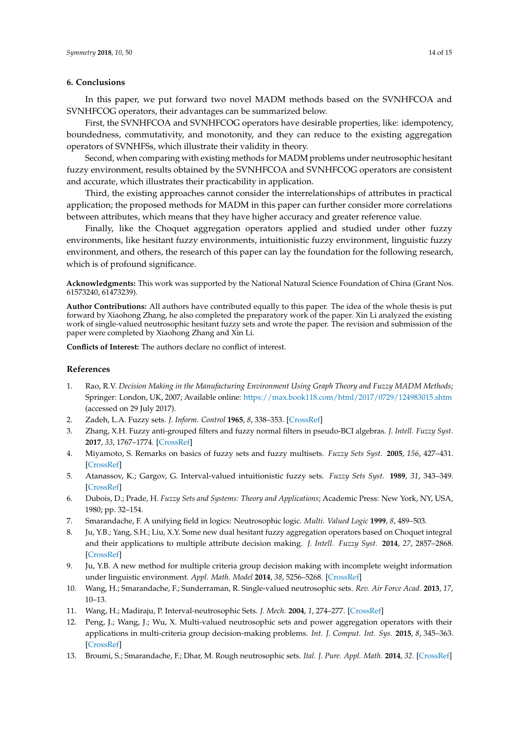#### <span id="page-13-7"></span>**6. Conclusions**

In this paper, we put forward two novel MADM methods based on the SVNHFCOA and SVNHFCOG operators, their advantages can be summarized below.

First, the SVNHFCOA and SVNHFCOG operators have desirable properties, like: idempotency, boundedness, commutativity, and monotonity, and they can reduce to the existing aggregation operators of SVNHFSs, which illustrate their validity in theory.

Second, when comparing with existing methods for MADM problems under neutrosophic hesitant fuzzy environment, results obtained by the SVNHFCOA and SVNHFCOG operators are consistent and accurate, which illustrates their practicability in application.

Third, the existing approaches cannot consider the interrelationships of attributes in practical application; the proposed methods for MADM in this paper can further consider more correlations between attributes, which means that they have higher accuracy and greater reference value.

Finally, like the Choquet aggregation operators applied and studied under other fuzzy environments, like hesitant fuzzy environments, intuitionistic fuzzy environment, linguistic fuzzy environment, and others, the research of this paper can lay the foundation for the following research, which is of profound significance.

**Acknowledgments:** This work was supported by the National Natural Science Foundation of China (Grant Nos. 61573240, 61473239).

**Author Contributions:** All authors have contributed equally to this paper. The idea of the whole thesis is put forward by Xiaohong Zhang, he also completed the preparatory work of the paper. Xin Li analyzed the existing work of single-valued neutrosophic hesitant fuzzy sets and wrote the paper. The revision and submission of the paper were completed by Xiaohong Zhang and Xin Li.

**Conflicts of Interest:** The authors declare no conflict of interest.

## **References**

- <span id="page-13-0"></span>1. Rao, R.V. *Decision Making in the Manufacturing Environment Using Graph Theory and Fuzzy MADM Methods*; Springer: London, UK, 2007; Available online: <https://max.book118.com/html/2017/0729/124983015.shtm> (accessed on 29 July 2017).
- <span id="page-13-1"></span>2. Zadeh, L.A. Fuzzy sets. *J. Inform. Control* **1965**, *8*, 338–353. [\[CrossRef\]](http://dx.doi.org/10.1016/S0019-9958(65)90241-X)
- <span id="page-13-2"></span>3. Zhang, X.H. Fuzzy anti-grouped filters and fuzzy normal filters in pseudo-BCI algebras. *J. Intell. Fuzzy Syst.* **2017**, *33*, 1767–1774. [\[CrossRef\]](http://dx.doi.org/10.3233/JIFS-17006)
- 4. Miyamoto, S. Remarks on basics of fuzzy sets and fuzzy multisets. *Fuzzy Sets Syst.* **2005**, *156*, 427–431. [\[CrossRef\]](http://dx.doi.org/10.1016/j.fss.2005.05.040)
- 5. Atanassov, K.; Gargov, G. Interval-valued intuitionistic fuzzy sets. *Fuzzy Sets Syst.* **1989**, *31*, 343–349. [\[CrossRef\]](http://dx.doi.org/10.1016/0165-0114(89)90205-4)
- 6. Dubois, D.; Prade, H. *Fuzzy Sets and Systems: Theory and Applications*; Academic Press: New York, NY, USA, 1980; pp. 32–154.
- <span id="page-13-3"></span>7. Smarandache, F. A unifying field in logics: Neutrosophic logic. *Multi. Valued Logic* **1999**, *8*, 489–503.
- <span id="page-13-4"></span>8. Ju, Y.B.; Yang, S.H.; Liu, X.Y. Some new dual hesitant fuzzy aggregation operators based on Choquet integral and their applications to multiple attribute decision making. *J. Intell. Fuzzy Syst.* **2014**, *27*, 2857–2868. [\[CrossRef\]](http://dx.doi.org/10.3233/IFS-141247)
- <span id="page-13-5"></span>9. Ju, Y.B. A new method for multiple criteria group decision making with incomplete weight information under linguistic environment. *Appl. Math. Model* **2014**, *38*, 5256–5268. [\[CrossRef\]](http://dx.doi.org/10.1016/j.apm.2014.04.022)
- <span id="page-13-6"></span>10. Wang, H.; Smarandache, F.; Sunderraman, R. Single-valued neutrosophic sets. *Rev. Air Force Acad.* **2013**, *17*, 10–13.
- 11. Wang, H.; Madiraju, P. Interval-neutrosophic Sets. *J. Mech.* **2004**, *1*, 274–277. [\[CrossRef\]](http://dx.doi.org/10.5281/zenodo.32260)
- 12. Peng, J.; Wang, J.; Wu, X. Multi-valued neutrosophic sets and power aggregation operators with their applications in multi-criteria group decision-making problems. *Int. J. Comput. Int. Sys.* **2015**, *8*, 345–363. [\[CrossRef\]](http://dx.doi.org/10.1080/18756891.2015.1001957)
- 13. Broumi, S.; Smarandache, F.; Dhar, M. Rough neutrosophic sets. *Ital. J. Pure. Appl. Math.* **2014**, *32*. [\[CrossRef\]](http://dx.doi.org/10.5281/zenodo.30310)